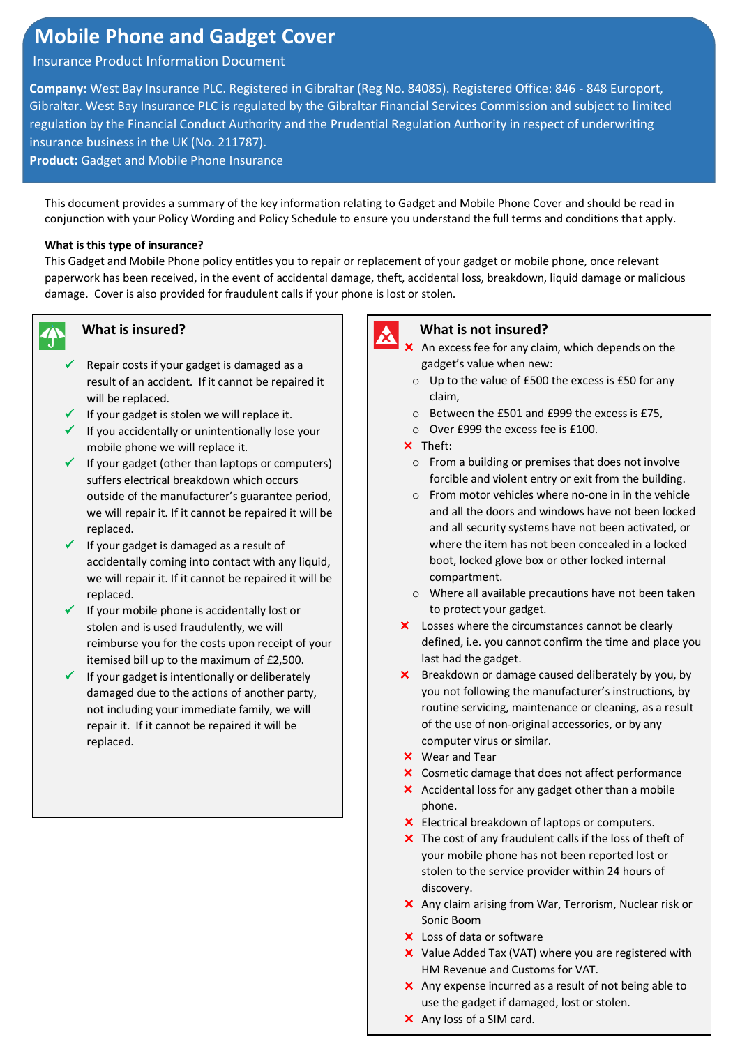## **Mobile Phone and Gadget Cover**

### Insurance Product Information Document

**Company:** West Bay Insurance PLC. Registered in Gibraltar (Reg No. 84085). Registered Office: 846 - 848 Europort, Gibraltar. West Bay Insurance PLC is regulated by the Gibraltar Financial Services Commission and subject to limited regulation by the Financial Conduct Authority and the Prudential Regulation Authority in respect of underwriting insurance business in the UK (No. 211787).

**Product:** Gadget and Mobile Phone Insurance

This document provides a summary of the key information relating to Gadget and Mobile Phone Cover and should be read in conjunction with your Policy Wording and Policy Schedule to ensure you understand the full terms and conditions that apply.

### **What is this type of insurance?**

This Gadget and Mobile Phone policy entitles you to repair or replacement of your gadget or mobile phone, once relevant paperwork has been received, in the event of accidental damage, theft, accidental loss, breakdown, liquid damage or malicious damage. Cover is also provided for fraudulent calls if your phone is lost or stolen.



## **What is insured?**

- ✓ Repair costs if your gadget is damaged as a result of an accident. If it cannot be repaired it will be replaced.
- ✓ If your gadget is stolen we will replace it.
- ✓ If you accidentally or unintentionally lose your mobile phone we will replace it.
- $\checkmark$  If your gadget (other than laptops or computers) suffers electrical breakdown which occurs outside of the manufacturer's guarantee period, we will repair it. If it cannot be repaired it will be replaced.
- ✓ If your gadget is damaged as a result of accidentally coming into contact with any liquid, we will repair it. If it cannot be repaired it will be replaced.
- $\checkmark$  If your mobile phone is accidentally lost or stolen and is used fraudulently, we will reimburse you for the costs upon receipt of your itemised bill up to the maximum of £2,500.
- If your gadget is intentionally or deliberately damaged due to the actions of another party, not including your immediate family, we will repair it. If it cannot be repaired it will be replaced.



### **What is not insured?**

- X An excess fee for any claim, which depends on the gadget's value when new:
	- o Up to the value of £500 the excess is £50 for any claim,
	- o Between the £501 and £999 the excess is £75,
	- o Over £999 the excess fee is £100.
- $\times$  Theft:
	- o From a building or premises that does not involve forcible and violent entry or exit from the building.
	- o From motor vehicles where no-one in in the vehicle and all the doors and windows have not been locked and all security systems have not been activated, or where the item has not been concealed in a locked boot, locked glove box or other locked internal compartment.
	- o Where all available precautions have not been taken to protect your gadget.
- X Losses where the circumstances cannot be clearly defined, i.e. you cannot confirm the time and place you last had the gadget.
- **X** Breakdown or damage caused deliberately by you, by you not following the manufacturer's instructions, by routine servicing, maintenance or cleaning, as a result of the use of non-original accessories, or by any computer virus or similar.
- Wear and Tear
- X Cosmetic damage that does not affect performance
- $\times$  Accidental loss for any gadget other than a mobile phone.
- Electrical breakdown of laptops or computers.
- $\times$  The cost of any fraudulent calls if the loss of theft of your mobile phone has not been reported lost or stolen to the service provider within 24 hours of discovery.
- Any claim arising from War, Terrorism, Nuclear risk or Sonic Boom
- X Loss of data or software
- X Value Added Tax (VAT) where you are registered with HM Revenue and Customs for VAT.
- $\times$  Any expense incurred as a result of not being able to use the gadget if damaged, lost or stolen.
- X Any loss of a SIM card.